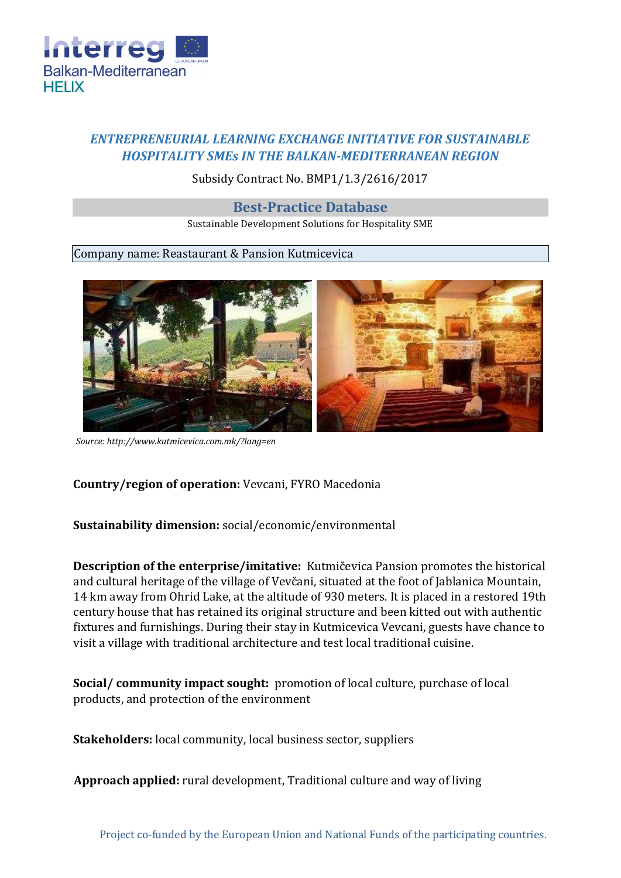

# *ENTREPRENEURIAL LEARNING EXCHANGE INITIATIVE FOR SUSTAINABLE HOSPITALITY SMEs IN THE BALKAN-MEDITERRANEAN REGION*

## Subsidy Contract No. BMP1/1.3/2616/2017

## **Best-Practice Database**

Sustainable Development Solutions for Hospitality SME

#### Company name: Reastaurant & Pansion Kutmicevica



*Sourc[e: http://www.kutmicevica.com.mk/?lang=en](http://www.kutmicevica.com.mk/?lang=en)*

## **Country/region of operation:** Vevcani, FYRO Macedonia

## **Sustainability dimension:** social/economic/environmental

**Description of the enterprise/imitative:** Kutmičevica Pansion promotes the historical and cultural heritage of the village of Vevčani, situated at the foot of Jablanica Mountain, 14 km away from Ohrid Lake, at the altitude of 930 meters. It is placed in a restored 19th century house that has retained its original structure and been kitted out with authentic fixtures and furnishings. During their stay in Kutmicevica Vevcani, guests have chance to visit a village with traditional architecture and test local traditional cuisine.

**Social/ community impact sought:** promotion of local culture, purchase of local products, and protection of the environment

**Stakeholders:** local community, local business sector, suppliers

**Approach applied:** rural development, Traditional culture and way of living